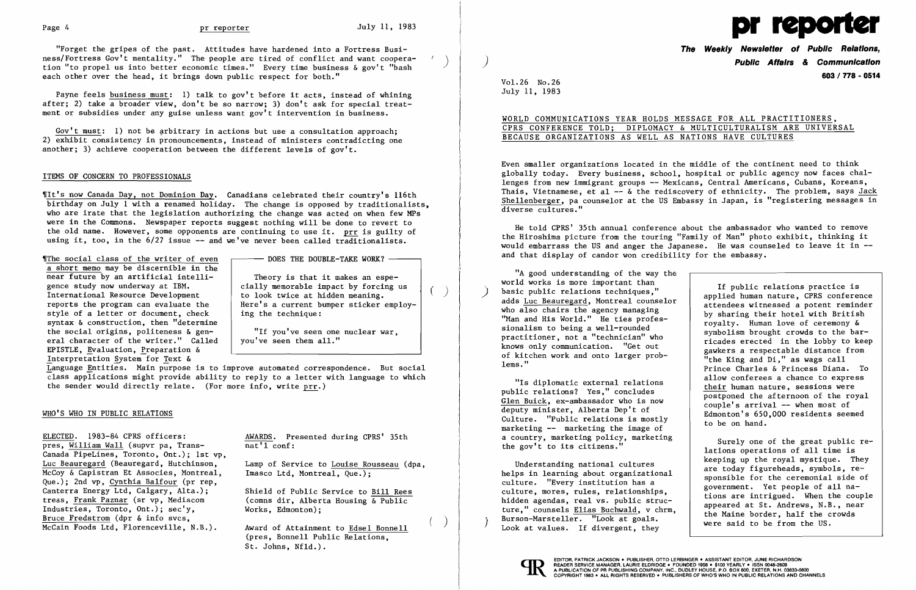

"Forget the gripes of the past. Attitudes have hardened into a Fortress Business/Fortress Gov't mentality." The people are tired of conflict and want cooperation "to propel us into better economic times." Every time business & gov't "bash each other over the head, it brings down public respect for both."

)

Gov't must: 1) not be arbitrary in actions but use a consultation approach; 2) exhibit consistency in pronouncements, instead of ministers contradicting one another; 3) achieve cooperation between the different levels of gov't.

Payne feels business must: 1) talk to gov't before it acts, instead of whining after; 2) take a broader view, don't be so narrow; 3) don't ask for special treatment or subsidies under any guise unless want gov't intervention in business.

> Theory is that it makes an especially memorable impact by forcing us to look twice at hidden meaning. Here's a current bumper sticker employing the technique:  $($ )

'/The social class of the wri ter of even a short memo may be discernible in the near future by an artificial intelligence study now underway at IBM. International Resource Development reports the program can evaluate the style of a letter or document, check syntax & construction, then "determine the social origins, politeness & general character of the writer." Called EPISTLE, Evaluation, freparation & Interpretation System for Text &

- DOES THE DOUBLE-TAKE WORK? -

## ITEMS OF CONCERN TO PROFESSIONALS

IIt's now Canada Day, not Dominion Day. Canadians celebrated their country's 116th birthday on July 1 with a renamed holiday. The change is opposed by traditionalists, who are irate that the legislation authorizing the change was acted on when few MPs were in the Commons. Newspaper reports suggest nothing will be done to revert to the old name. However, some opponents are continuing to use it. prr is guilty of using it, too, in the 6/27 issue -- and we've never been called traditionalists.

Language Entities. Main purpose is to improve automated correspondence. But social class applications might provide ability to reply to a letter with language to which the sender would directly relate. (For more info, write  $prr.$ )

> AWARDS. Presented during CPRS' 35th  $nat'1$  conf:

"If you've seen one nuclear war, you've seen them all."

"A good understanding of the way the world works is more important than World works is more important than<br>
basic public relations techniques,"<br>
adds <u>Luc Beauregard</u>, Montreal counselor<br>
who also chairs the agency managing<br>
"Man and His World." He ties profes-<br>
sionalism to being a well-round

"Is diplomatic external relations<br>
public relations? Yes," concludes<br>
Glen Buick, ex-ambassador who is now<br>
deputy minister, Alberta Dep't of<br>
Culture. "Public relations is mostly<br>
marketing -- marketing the image of<br>
expr a country, marketing policy, marketing <br>the gov't to its citizens." <br>lations operations of all time is

Understanding national cultures<br>
helps in learning about organizational<br>
culture. "Every institution has a<br>
culture, mores, rules, relationships,<br>
hidden agendas, real vs. public struc-<br>
ture," counsels <u>Elias Buchwald</u>, v



 $($   $)$ 

### WHO'S WHO IN PUBLIC RELATIONS

ELECTED. 1983-84 CPRS officers: pres, William Wall (supvr pa, Trans-Canada PipeLines, Toronto, Ont.); 1st vp, Luc Beauregard (Beauregard, Hutchinson, McCoy & Capistran Et Associes, Montreal, Que.); 2nd vp, Cynthia Balfour (pr rep, Canterra Energy Ltd, Calgary, Alta.); treas, Frank Paznar (sr vp, Mediacom Industries, Toronto, Ont.); sec'y, Bruce Fredstrom (dpr & info svcs, McCain Foods Ltd, Florenceville, N.B.).

Lamp of Service to Louise Rousseau (dpa, Imasco Ltd, Montreal, Que.);

Award of Attainment to Edsel Bonnell (pres, Bonnell Public Relations, St. Johns, Nfld.).

Shield of Public Service to Bill Rees (comns dir, Alberta Housing & Public Works, Edmonton);

**The Weekly Newsletter of Public Relations,**  ) **Public Affairs & Communication 603 / 778 - 0514** 

Understanding national cultures are today figureheads, symbols, re-

VoL26 No.26 July 11, 1983

WORLD COMMUNICATIONS YEAR HOLDS MESSAGE FOR ALL PRACTITIONERS, CPRS CONFERENCE TOLD; DIPLOMACY & MULTICULTURALISM ARE UNIVERSAL BECAUSE ORGANIZATIONS AS WELL AS NATIONS HAVE CULTURES

Even smaller organizations located in the middle of the continent need to think globally today. Every business, school, hospital or public agency now faces challenges from new immigrant groups -- Mexicans, Central Americans, Cubans, Koreans, Thais, Vietnamese, et al -- & the rediscovery of ethnicity. The problem, says Jack Shellenberger, pa counselor at the US Embassy in Japan, is "registering messages in diverse cultures."

He told CPRS' 35th annual conference about the ambassador who wanted to remove the Hiroshima picture from the touring "Family of Man" photo exhibit, thinking it would embarrass the US and anger the Japanese. He was counseled to leave it in and that display of candor won credibility for the embassy.